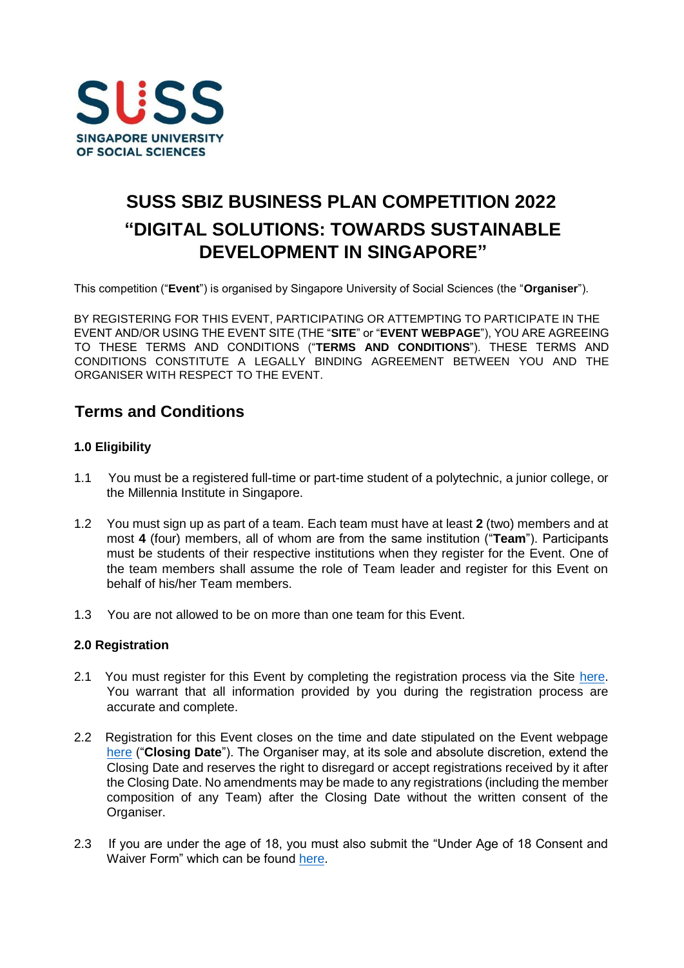

# **SUSS SBIZ BUSINESS PLAN COMPETITION 2022 "DIGITAL SOLUTIONS: TOWARDS SUSTAINABLE DEVELOPMENT IN SINGAPORE"**

This competition ("**Event**") is organised by Singapore University of Social Sciences (the "**Organiser**").

BY REGISTERING FOR THIS EVENT, PARTICIPATING OR ATTEMPTING TO PARTICIPATE IN THE EVENT AND/OR USING THE EVENT SITE (THE "**SITE**" or "**EVENT WEBPAGE**"), YOU ARE AGREEING TO THESE TERMS AND CONDITIONS ("**TERMS AND CONDITIONS**"). THESE TERMS AND CONDITIONS CONSTITUTE A LEGALLY BINDING AGREEMENT BETWEEN YOU AND THE ORGANISER WITH RESPECT TO THE EVENT.

# **Terms and Conditions**

# **1.0 Eligibility**

- 1.1 You must be a registered full-time or part-time student of a polytechnic, a junior college, or the Millennia Institute in Singapore.
- 1.2 You must sign up as part of a team. Each team must have at least **2** (two) members and at most **4** (four) members, all of whom are from the same institution ("**Team**"). Participants must be students of their respective institutions when they register for the Event. One of the team members shall assume the role of Team leader and register for this Event on behalf of his/her Team members.
- 1.3 You are not allowed to be on more than one team for this Event.

## **2.0 Registration**

- 2.1 You must register for this Event by completing the registration process via the Site [here](https://www.suss.edu.sg/bpc2022)[.](https://www.suss.edu.sg/bpc2020) You warrant that all information provided by you during the registration process are accurate and complete.
- 2.2 Registration for this Event closes on the time and date stipulated on the Event webpage [here](https://www.suss.edu.sg/bpc2022) [\(](https://www.suss.edu.sg/bpc2022)"**Closing Date**"). The Organiser may, at its sole and absolute discretion, extend the Closing Date and reserves the right to disregard or accept registrations received by it after the Closing Date. No amendments may be made to any registrations (including the member composition of any Team) after the Closing Date without the written consent of the Organiser.
- 2.3 If you are under the age of 18, you must also submit the "Under Age of 18 Consent and Waiver Form" which can be found [here.](https://www.suss.edu.sg/docs/default-source/contentdoc/sbiz/bpc2022-consentform.pdf)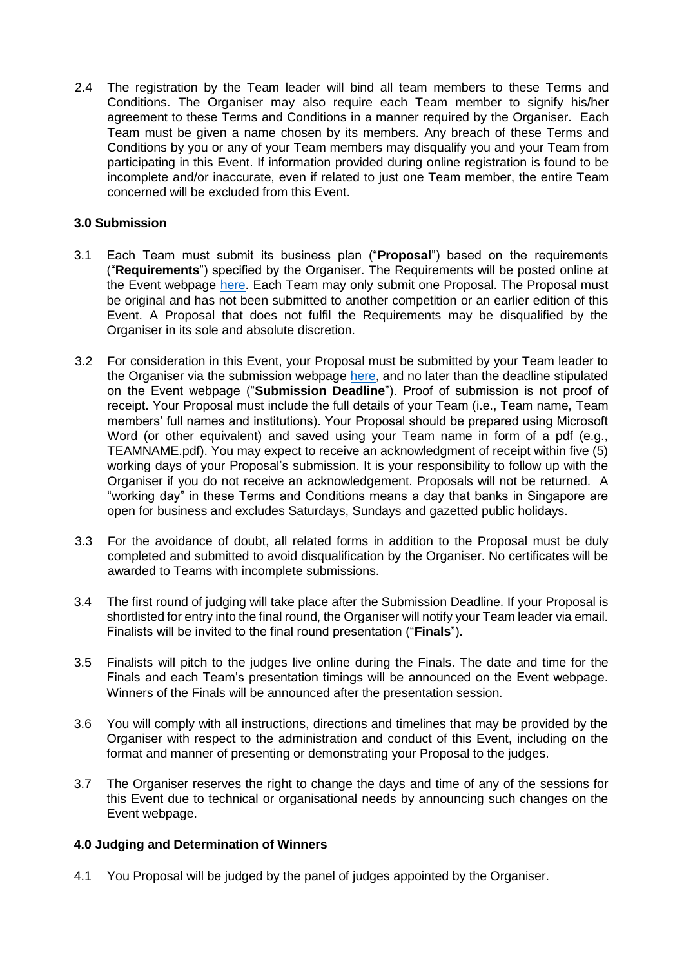2.4 The registration by the Team leader will bind all team members to these Terms and Conditions. The Organiser may also require each Team member to signify his/her agreement to these Terms and Conditions in a manner required by the Organiser. Each Team must be given a name chosen by its members. Any breach of these Terms and Conditions by you or any of your Team members may disqualify you and your Team from participating in this Event. If information provided during online registration is found to be incomplete and/or inaccurate, even if related to just one Team member, the entire Team concerned will be excluded from this Event.

# **3.0 Submission**

- 3.1 Each Team must submit its business plan ("**Proposal**") based on the requirements ("**Requirements**") specified by the Organiser. The Requirements will be posted online at the Event webpage [here.](https://www.suss.edu.sg/bpc2022) Each Team may only submit one Proposal. The Proposal must be original and has not been submitted to another competition or an earlier edition of this Event. A Proposal that does not fulfil the Requirements may be disqualified by the Organiser in its sole and absolute discretion.
- 3.2 For consideration in this Event, your Proposal must be submitted by your Team leader to the Organiser via the submission webpage [here,](https://www.suss.edu.sg/bpc2022) and no later than the deadline stipulated on the Event webpage ("**Submission Deadline**"). Proof of submission is not proof of receipt. Your Proposal must include the full details of your Team (i.e., Team name, Team members' full names and institutions). Your Proposal should be prepared using Microsoft Word (or other equivalent) and saved using your Team name in form of a pdf (e.g., TEAMNAME.pdf). You may expect to receive an acknowledgment of receipt within five (5) working days of your Proposal's submission. It is your responsibility to follow up with the Organiser if you do not receive an acknowledgement. Proposals will not be returned. A "working day" in these Terms and Conditions means a day that banks in Singapore are open for business and excludes Saturdays, Sundays and gazetted public holidays.
- 3.3 For the avoidance of doubt, all related forms in addition to the Proposal must be duly completed and submitted to avoid disqualification by the Organiser. No certificates will be awarded to Teams with incomplete submissions.
- 3.4 The first round of judging will take place after the Submission Deadline. If your Proposal is shortlisted for entry into the final round, the Organiser will notify your Team leader via email. Finalists will be invited to the final round presentation ("**Finals**").
- 3.5 Finalists will pitch to the judges live online during the Finals. The date and time for the Finals and each Team's presentation timings will be announced on the Event webpage. Winners of the Finals will be announced after the presentation session.
- 3.6 You will comply with all instructions, directions and timelines that may be provided by the Organiser with respect to the administration and conduct of this Event, including on the format and manner of presenting or demonstrating your Proposal to the judges.
- 3.7 The Organiser reserves the right to change the days and time of any of the sessions for this Event due to technical or organisational needs by announcing such changes on the Event webpage.

## **4.0 Judging and Determination of Winners**

4.1 You Proposal will be judged by the panel of judges appointed by the Organiser.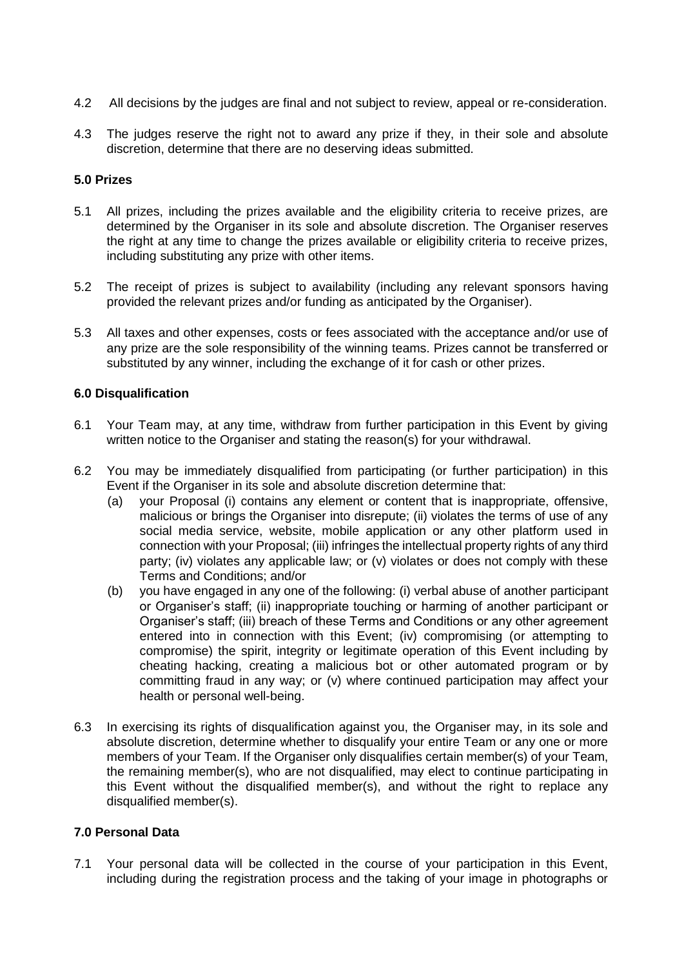- 4.2 All decisions by the judges are final and not subject to review, appeal or re-consideration.
- 4.3 The judges reserve the right not to award any prize if they, in their sole and absolute discretion, determine that there are no deserving ideas submitted.

## **5.0 Prizes**

- 5.1 All prizes, including the prizes available and the eligibility criteria to receive prizes, are determined by the Organiser in its sole and absolute discretion. The Organiser reserves the right at any time to change the prizes available or eligibility criteria to receive prizes, including substituting any prize with other items.
- 5.2 The receipt of prizes is subject to availability (including any relevant sponsors having provided the relevant prizes and/or funding as anticipated by the Organiser).
- 5.3 All taxes and other expenses, costs or fees associated with the acceptance and/or use of any prize are the sole responsibility of the winning teams. Prizes cannot be transferred or substituted by any winner, including the exchange of it for cash or other prizes.

## **6.0 Disqualification**

- 6.1 Your Team may, at any time, withdraw from further participation in this Event by giving written notice to the Organiser and stating the reason(s) for your withdrawal.
- 6.2 You may be immediately disqualified from participating (or further participation) in this Event if the Organiser in its sole and absolute discretion determine that:
	- (a) your Proposal (i) contains any element or content that is inappropriate, offensive, malicious or brings the Organiser into disrepute; (ii) violates the terms of use of any social media service, website, mobile application or any other platform used in connection with your Proposal; (iii) infringes the intellectual property rights of any third party; (iv) violates any applicable law; or (v) violates or does not comply with these Terms and Conditions; and/or
	- (b) you have engaged in any one of the following: (i) verbal abuse of another participant or Organiser's staff; (ii) inappropriate touching or harming of another participant or Organiser's staff; (iii) breach of these Terms and Conditions or any other agreement entered into in connection with this Event; (iv) compromising (or attempting to compromise) the spirit, integrity or legitimate operation of this Event including by cheating hacking, creating a malicious bot or other automated program or by committing fraud in any way; or (v) where continued participation may affect your health or personal well-being.
- 6.3 In exercising its rights of disqualification against you, the Organiser may, in its sole and absolute discretion, determine whether to disqualify your entire Team or any one or more members of your Team. If the Organiser only disqualifies certain member(s) of your Team, the remaining member(s), who are not disqualified, may elect to continue participating in this Event without the disqualified member(s), and without the right to replace any disqualified member(s).

## **7.0 Personal Data**

7.1 Your personal data will be collected in the course of your participation in this Event, including during the registration process and the taking of your image in photographs or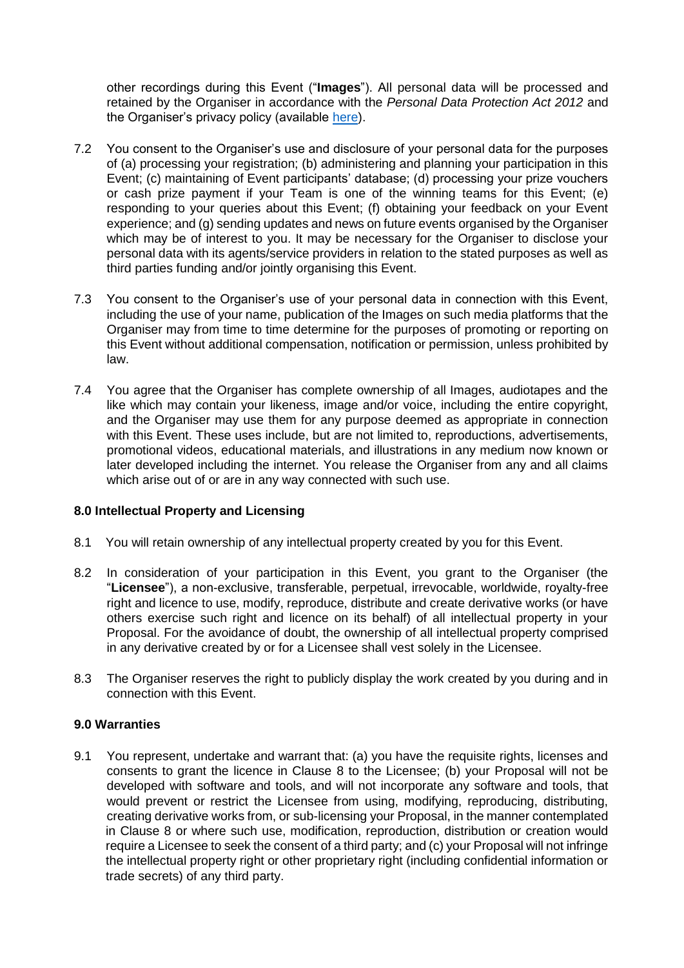other recordings during this Event ("**Images**"). All personal data will be processed and retained by the Organiser in accordance with the *Personal Data Protection Act 2012* and the Organiser's privacy policy (available [here\).](http://www.suss.edu.sg/Privacy-Policy)

- 7.2 You consent to the Organiser's use and disclosure of your personal data for the purposes of (a) processing your registration; (b) administering and planning your participation in this Event; (c) maintaining of Event participants' database; (d) processing your prize vouchers or cash prize payment if your Team is one of the winning teams for this Event; (e) responding to your queries about this Event; (f) obtaining your feedback on your Event experience; and (g) sending updates and news on future events organised by the Organiser which may be of interest to you. It may be necessary for the Organiser to disclose your personal data with its agents/service providers in relation to the stated purposes as well as third parties funding and/or jointly organising this Event.
- 7.3 You consent to the Organiser's use of your personal data in connection with this Event, including the use of your name, publication of the Images on such media platforms that the Organiser may from time to time determine for the purposes of promoting or reporting on this Event without additional compensation, notification or permission, unless prohibited by law.
- 7.4 You agree that the Organiser has complete ownership of all Images, audiotapes and the like which may contain your likeness, image and/or voice, including the entire copyright, and the Organiser may use them for any purpose deemed as appropriate in connection with this Event. These uses include, but are not limited to, reproductions, advertisements, promotional videos, educational materials, and illustrations in any medium now known or later developed including the internet. You release the Organiser from any and all claims which arise out of or are in any way connected with such use.

## **8.0 Intellectual Property and Licensing**

- 8.1 You will retain ownership of any intellectual property created by you for this Event.
- 8.2 In consideration of your participation in this Event, you grant to the Organiser (the "**Licensee**"), a non-exclusive, transferable, perpetual, irrevocable, worldwide, royalty-free right and licence to use, modify, reproduce, distribute and create derivative works (or have others exercise such right and licence on its behalf) of all intellectual property in your Proposal. For the avoidance of doubt, the ownership of all intellectual property comprised in any derivative created by or for a Licensee shall vest solely in the Licensee.
- 8.3 The Organiser reserves the right to publicly display the work created by you during and in connection with this Event.

## **9.0 Warranties**

9.1 You represent, undertake and warrant that: (a) you have the requisite rights, licenses and consents to grant the licence in Clause 8 to the Licensee; (b) your Proposal will not be developed with software and tools, and will not incorporate any software and tools, that would prevent or restrict the Licensee from using, modifying, reproducing, distributing, creating derivative works from, or sub-licensing your Proposal, in the manner contemplated in Clause 8 or where such use, modification, reproduction, distribution or creation would require a Licensee to seek the consent of a third party; and (c) your Proposal will not infringe the intellectual property right or other proprietary right (including confidential information or trade secrets) of any third party.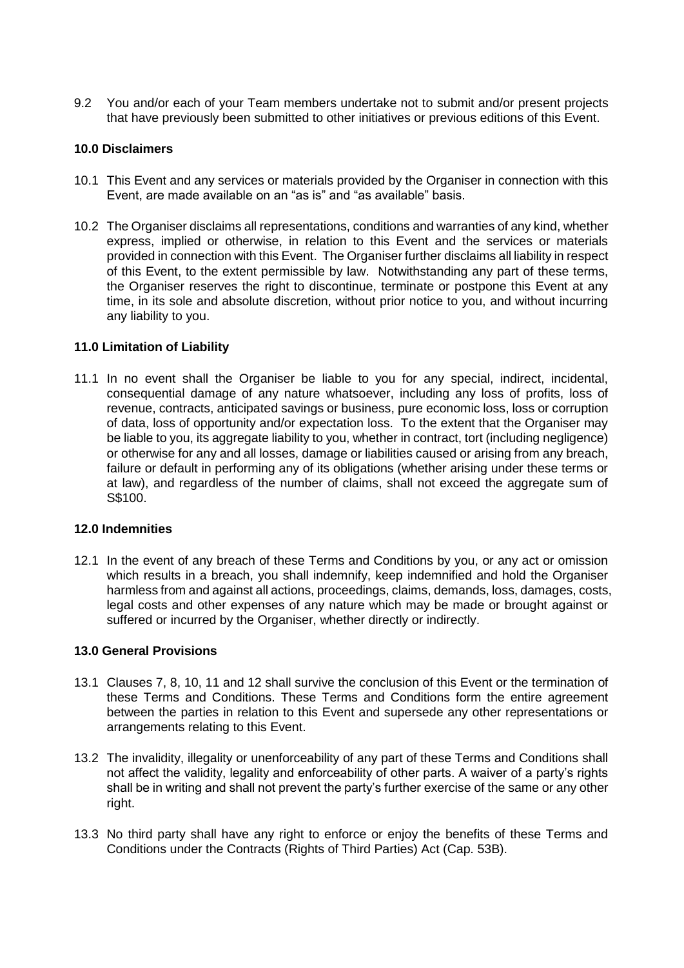9.2 You and/or each of your Team members undertake not to submit and/or present projects that have previously been submitted to other initiatives or previous editions of this Event.

#### **10.0 Disclaimers**

- 10.1 This Event and any services or materials provided by the Organiser in connection with this Event, are made available on an "as is" and "as available" basis.
- 10.2 The Organiser disclaims all representations, conditions and warranties of any kind, whether express, implied or otherwise, in relation to this Event and the services or materials provided in connection with this Event. The Organiser further disclaims all liability in respect of this Event, to the extent permissible by law. Notwithstanding any part of these terms, the Organiser reserves the right to discontinue, terminate or postpone this Event at any time, in its sole and absolute discretion, without prior notice to you, and without incurring any liability to you.

#### **11.0 Limitation of Liability**

11.1 In no event shall the Organiser be liable to you for any special, indirect, incidental, consequential damage of any nature whatsoever, including any loss of profits, loss of revenue, contracts, anticipated savings or business, pure economic loss, loss or corruption of data, loss of opportunity and/or expectation loss. To the extent that the Organiser may be liable to you, its aggregate liability to you, whether in contract, tort (including negligence) or otherwise for any and all losses, damage or liabilities caused or arising from any breach, failure or default in performing any of its obligations (whether arising under these terms or at law), and regardless of the number of claims, shall not exceed the aggregate sum of S\$100.

#### **12.0 Indemnities**

12.1 In the event of any breach of these Terms and Conditions by you, or any act or omission which results in a breach, you shall indemnify, keep indemnified and hold the Organiser harmless from and against all actions, proceedings, claims, demands, loss, damages, costs, legal costs and other expenses of any nature which may be made or brought against or suffered or incurred by the Organiser, whether directly or indirectly.

#### **13.0 General Provisions**

- 13.1 Clauses 7, 8, 10, 11 and 12 shall survive the conclusion of this Event or the termination of these Terms and Conditions. These Terms and Conditions form the entire agreement between the parties in relation to this Event and supersede any other representations or arrangements relating to this Event.
- 13.2 The invalidity, illegality or unenforceability of any part of these Terms and Conditions shall not affect the validity, legality and enforceability of other parts. A waiver of a party's rights shall be in writing and shall not prevent the party's further exercise of the same or any other right.
- 13.3 No third party shall have any right to enforce or enjoy the benefits of these Terms and Conditions under the Contracts (Rights of Third Parties) Act (Cap. 53B).